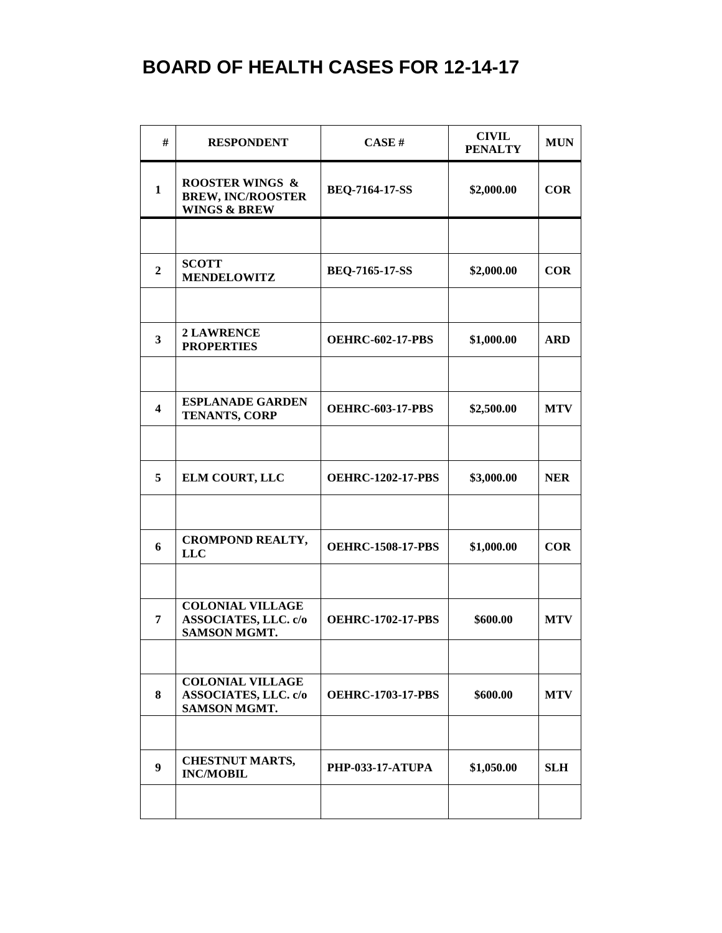| #                       | <b>RESPONDENT</b>                                                                 | CASE#                    | <b>CIVIL</b><br><b>PENALTY</b> | <b>MUN</b> |
|-------------------------|-----------------------------------------------------------------------------------|--------------------------|--------------------------------|------------|
| $\mathbf{1}$            | <b>ROOSTER WINGS &amp;</b><br><b>BREW, INC/ROOSTER</b><br><b>WINGS &amp; BREW</b> | <b>BEQ-7164-17-SS</b>    | \$2,000.00                     | <b>COR</b> |
|                         |                                                                                   |                          |                                |            |
| $\overline{2}$          | <b>SCOTT</b><br><b>MENDELOWITZ</b>                                                | <b>BEQ-7165-17-SS</b>    | \$2,000.00                     | $COR$      |
|                         |                                                                                   |                          |                                |            |
| $\overline{\mathbf{3}}$ | <b>2 LAWRENCE</b><br><b>PROPERTIES</b>                                            | <b>OEHRC-602-17-PBS</b>  | \$1,000.00                     | <b>ARD</b> |
|                         |                                                                                   |                          |                                |            |
| $\overline{\mathbf{4}}$ | <b>ESPLANADE GARDEN</b><br><b>TENANTS, CORP</b>                                   | <b>OEHRC-603-17-PBS</b>  | \$2,500.00                     | <b>MTV</b> |
|                         |                                                                                   |                          |                                |            |
| 5                       | ELM COURT, LLC                                                                    | <b>OEHRC-1202-17-PBS</b> | \$3,000.00                     | <b>NER</b> |
|                         |                                                                                   |                          |                                |            |
| 6                       | <b>CROMPOND REALTY,</b><br><b>LLC</b>                                             | <b>OEHRC-1508-17-PBS</b> | \$1,000.00                     | <b>COR</b> |
|                         |                                                                                   |                          |                                |            |
| 7                       | <b>COLONIAL VILLAGE</b><br><b>ASSOCIATES, LLC. c/o</b><br><b>SAMSON MGMT.</b>     | <b>OEHRC-1702-17-PBS</b> | \$600.00                       | <b>MTV</b> |
|                         |                                                                                   |                          |                                |            |
| 8                       | <b>COLONIAL VILLAGE</b><br><b>ASSOCIATES, LLC. c/o</b><br>SAMSON MGMT.            | <b>OEHRC-1703-17-PBS</b> | \$600.00                       | <b>MTV</b> |
|                         |                                                                                   |                          |                                |            |
| $\boldsymbol{9}$        | <b>CHESTNUT MARTS,</b><br><b>INC/MOBIL</b>                                        | <b>PHP-033-17-ATUPA</b>  | \$1,050.00                     | <b>SLH</b> |
|                         |                                                                                   |                          |                                |            |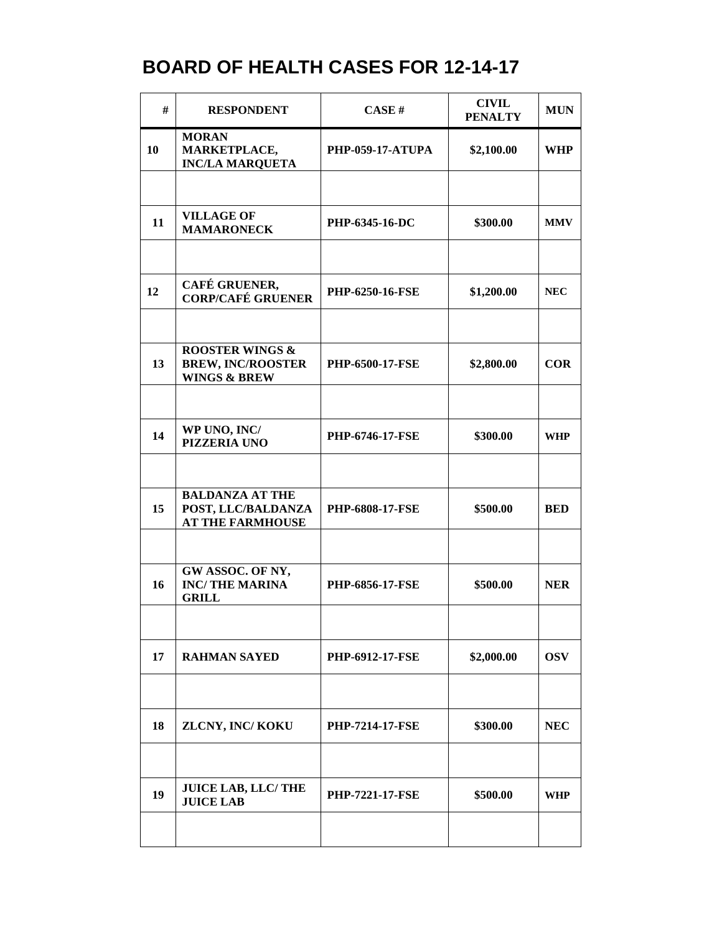| #  | <b>RESPONDENT</b>                                                                 | CASE#                   | <b>CIVIL</b><br><b>PENALTY</b> | <b>MUN</b> |
|----|-----------------------------------------------------------------------------------|-------------------------|--------------------------------|------------|
| 10 | <b>MORAN</b><br>MARKETPLACE,<br><b>INC/LA MARQUETA</b>                            | <b>PHP-059-17-ATUPA</b> | \$2,100.00                     | <b>WHP</b> |
|    |                                                                                   |                         |                                |            |
| 11 | <b>VILLAGE OF</b><br><b>MAMARONECK</b>                                            | PHP-6345-16-DC          | \$300.00                       | <b>MMV</b> |
|    |                                                                                   |                         |                                |            |
| 12 | CAFÉ GRUENER,<br><b>CORP/CAFÉ GRUENER</b>                                         | <b>PHP-6250-16-FSE</b>  | \$1,200.00                     | <b>NEC</b> |
|    |                                                                                   |                         |                                |            |
| 13 | <b>ROOSTER WINGS &amp;</b><br><b>BREW, INC/ROOSTER</b><br><b>WINGS &amp; BREW</b> | PHP-6500-17-FSE         | \$2,800.00                     | $COR$      |
|    |                                                                                   |                         |                                |            |
| 14 | WP UNO, INC/<br><b>PIZZERIA UNO</b>                                               | PHP-6746-17-FSE         | \$300.00                       | <b>WHP</b> |
|    |                                                                                   |                         |                                |            |
| 15 | <b>BALDANZA AT THE</b><br>POST, LLC/BALDANZA<br><b>AT THE FARMHOUSE</b>           | <b>PHP-6808-17-FSE</b>  | \$500.00                       | <b>BED</b> |
|    |                                                                                   |                         |                                |            |
| 16 | GW ASSOC. OF NY,<br><b>INC/THE MARINA</b><br><b>GRILL</b>                         | <b>PHP-6856-17-FSE</b>  | \$500.00                       | <b>NER</b> |
|    |                                                                                   |                         |                                |            |
| 17 | <b>RAHMAN SAYED</b>                                                               | <b>PHP-6912-17-FSE</b>  | \$2,000.00                     | <b>OSV</b> |
|    |                                                                                   |                         |                                |            |
| 18 | ZLCNY, INC/KOKU                                                                   | <b>PHP-7214-17-FSE</b>  | \$300.00                       | <b>NEC</b> |
|    |                                                                                   |                         |                                |            |
| 19 | <b>JUICE LAB, LLC/THE</b><br><b>JUICE LAB</b>                                     | <b>PHP-7221-17-FSE</b>  | \$500.00                       | <b>WHP</b> |
|    |                                                                                   |                         |                                |            |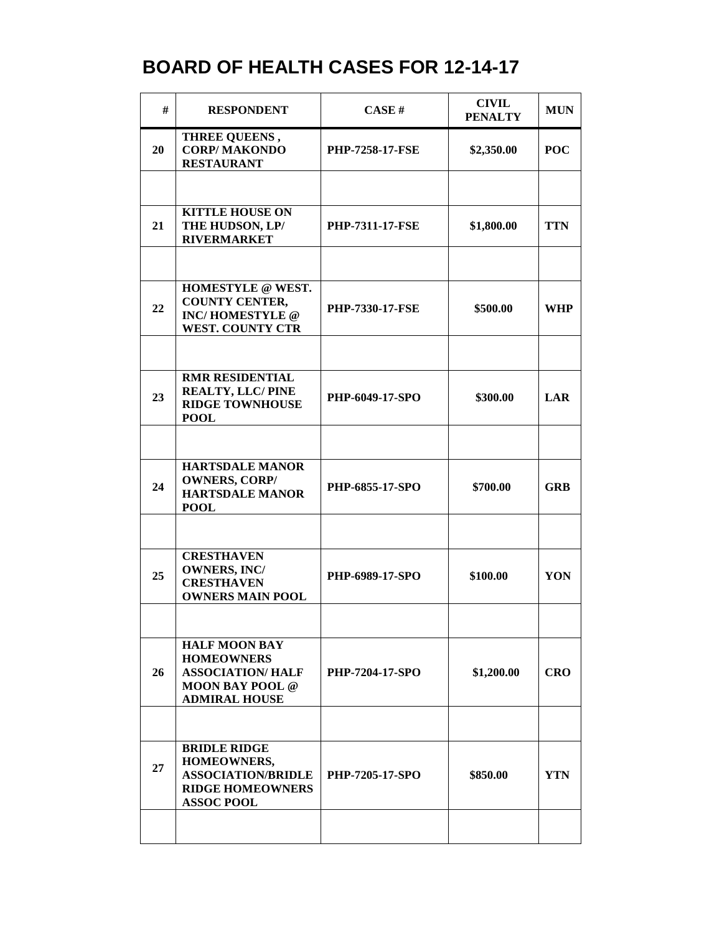| #  | <b>RESPONDENT</b>                                                                                                      | CASE H                 | <b>CIVIL</b><br><b>PENALTY</b> | <b>MUN</b> |
|----|------------------------------------------------------------------------------------------------------------------------|------------------------|--------------------------------|------------|
| 20 | THREE QUEENS,<br><b>CORP/MAKONDO</b><br><b>RESTAURANT</b>                                                              | <b>PHP-7258-17-FSE</b> | \$2,350.00                     | <b>POC</b> |
|    |                                                                                                                        |                        |                                |            |
| 21 | <b>KITTLE HOUSE ON</b><br>THE HUDSON, LP/<br><b>RIVERMARKET</b>                                                        | <b>PHP-7311-17-FSE</b> | \$1,800.00                     | <b>TTN</b> |
|    |                                                                                                                        |                        |                                |            |
| 22 | HOMESTYLE @ WEST.<br><b>COUNTY CENTER,</b><br><b>INC/HOMESTYLE</b> @<br><b>WEST. COUNTY CTR</b>                        | <b>PHP-7330-17-FSE</b> | \$500.00                       | <b>WHP</b> |
|    |                                                                                                                        |                        |                                |            |
| 23 | <b>RMR RESIDENTIAL</b><br><b>REALTY, LLC/PINE</b><br><b>RIDGE TOWNHOUSE</b><br><b>POOL</b>                             | PHP-6049-17-SPO        | \$300.00                       | <b>LAR</b> |
|    |                                                                                                                        |                        |                                |            |
| 24 | <b>HARTSDALE MANOR</b><br><b>OWNERS, CORP/</b><br><b>HARTSDALE MANOR</b><br><b>POOL</b>                                | <b>PHP-6855-17-SPO</b> | \$700.00                       | <b>GRB</b> |
|    |                                                                                                                        |                        |                                |            |
| 25 | <b>CRESTHAVEN</b><br><b>OWNERS, INC/</b><br><b>CRESTHAVEN</b><br><b>OWNERS MAIN POOL</b>                               | PHP-6989-17-SPO        | \$100.00                       | YON        |
|    |                                                                                                                        |                        |                                |            |
| 26 | <b>HALF MOON BAY</b><br><b>HOMEOWNERS</b><br><b>ASSOCIATION/HALF</b><br><b>MOON BAY POOL @</b><br><b>ADMIRAL HOUSE</b> | <b>PHP-7204-17-SPO</b> | \$1,200.00                     | <b>CRO</b> |
|    |                                                                                                                        |                        |                                |            |
| 27 | <b>BRIDLE RIDGE</b><br>HOMEOWNERS,<br><b>ASSOCIATION/BRIDLE</b><br><b>RIDGE HOMEOWNERS</b><br><b>ASSOC POOL</b>        | <b>PHP-7205-17-SPO</b> | \$850.00                       | <b>YTN</b> |
|    |                                                                                                                        |                        |                                |            |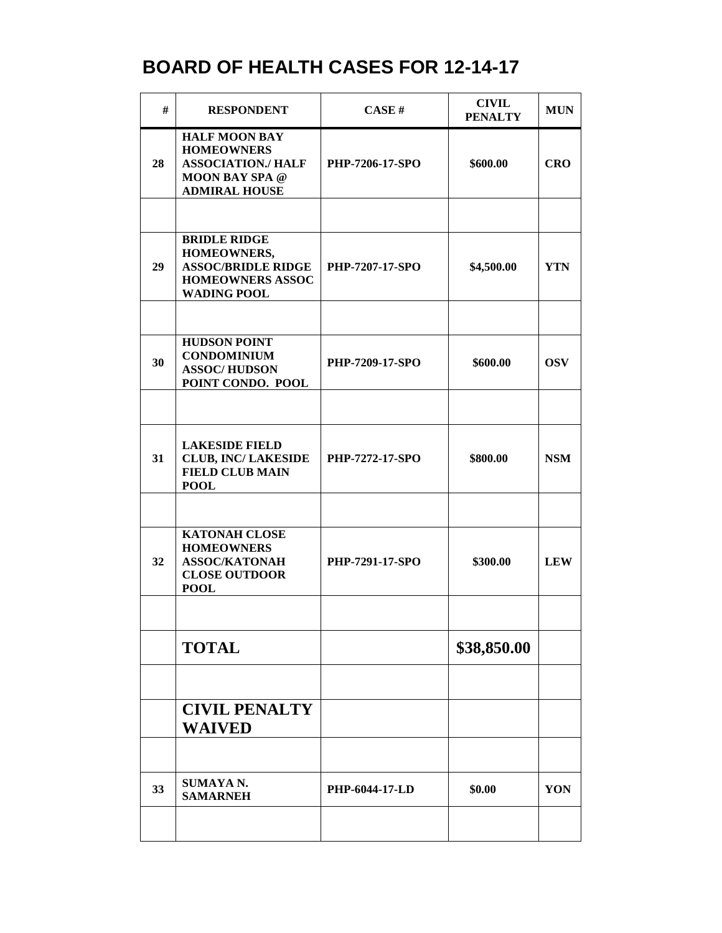| #  | <b>RESPONDENT</b>                                                                                                       | CASE#                 | <b>CIVIL</b><br><b>PENALTY</b> | <b>MUN</b> |
|----|-------------------------------------------------------------------------------------------------------------------------|-----------------------|--------------------------------|------------|
| 28 | <b>HALF MOON BAY</b><br><b>HOMEOWNERS</b><br><b>ASSOCIATION./ HALF</b><br><b>MOON BAY SPA @</b><br><b>ADMIRAL HOUSE</b> | PHP-7206-17-SPO       | \$600.00                       | <b>CRO</b> |
|    |                                                                                                                         |                       |                                |            |
| 29 | <b>BRIDLE RIDGE</b><br>HOMEOWNERS,<br><b>ASSOC/BRIDLE RIDGE</b><br><b>HOMEOWNERS ASSOC</b><br><b>WADING POOL</b>        | PHP-7207-17-SPO       | \$4,500.00                     | <b>YTN</b> |
|    |                                                                                                                         |                       |                                |            |
| 30 | <b>HUDSON POINT</b><br><b>CONDOMINIUM</b><br><b>ASSOC/HUDSON</b><br>POINT CONDO. POOL                                   | PHP-7209-17-SPO       | \$600.00                       | <b>OSV</b> |
|    |                                                                                                                         |                       |                                |            |
| 31 | <b>LAKESIDE FIELD</b><br><b>CLUB, INC/LAKESIDE</b><br><b>FIELD CLUB MAIN</b><br><b>POOL</b>                             | PHP-7272-17-SPO       | \$800.00                       | <b>NSM</b> |
|    |                                                                                                                         |                       |                                |            |
| 32 | <b>KATONAH CLOSE</b><br><b>HOMEOWNERS</b><br><b>ASSOC/KATONAH</b><br><b>CLOSE OUTDOOR</b><br><b>POOL</b>                | PHP-7291-17-SPO       | \$300.00                       | <b>LEW</b> |
|    |                                                                                                                         |                       |                                |            |
|    | <b>TOTAL</b>                                                                                                            |                       | \$38,850.00                    |            |
|    |                                                                                                                         |                       |                                |            |
|    | <b>CIVIL PENALTY</b><br><b>WAIVED</b>                                                                                   |                       |                                |            |
|    |                                                                                                                         |                       |                                |            |
| 33 | <b>SUMAYA N.</b><br><b>SAMARNEH</b>                                                                                     | <b>PHP-6044-17-LD</b> | \$0.00                         | YON        |
|    |                                                                                                                         |                       |                                |            |